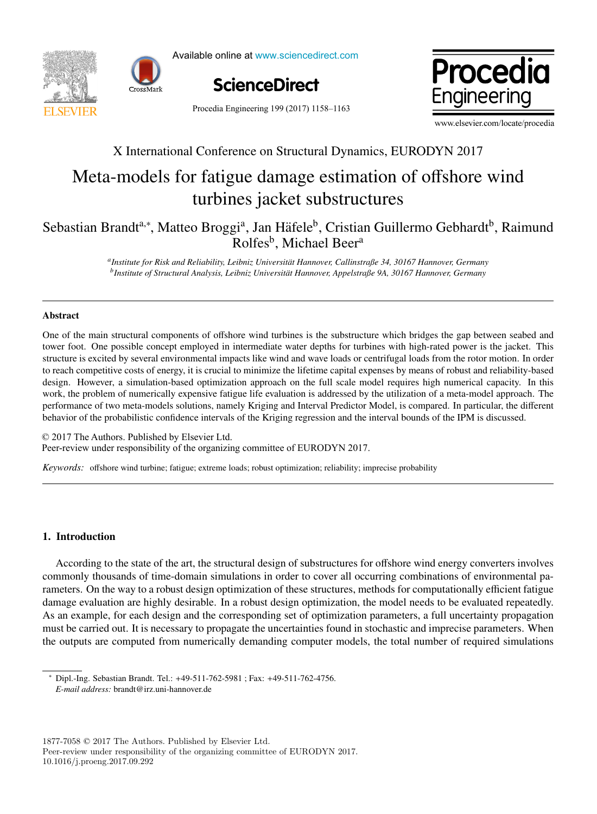



Available online at www.sciencedirect.com Available online at www.sciencedirect.com Available online at www.sciencedirect.com





Procedia Engineering 199 (2017) 1158-1163

www.elsevier.com/locate/procedia www.elsevier.com/locate/procedia

## X International Conference on Structural Dynamics, EURODYN 2017 X International Conference on Structural Dynamics, EURODYN 2017

# Meta-models for fatigue damage estimation of offshore wind Meta-models for fatigue damage estimation of offshore wind turbines jacket substructures turbines jacket substructures

### Sebastian Brandt<sup>a,∗</sup>, Matteo Broggi<sup>a</sup>, Jan Häfele<sup>b</sup>, Cristian Guillermo Gebhardt<sup>b</sup>, Raimund Rolfes<sup>b</sup>, Michael Beer<sup>a</sup>

*aInstitute for Risk and Reliability, Leibniz Universit¨at Hannover, Callinstraße 34, 30167 Hannover, Germany* <sup>b</sup>Institute of Structural Analysis, Leibniz Universität Hannover, Appelstraße 9A, 30167 Hannover, Germany *aInstitute for Risk and Reliability, Leibniz Universit¨at Hannover, Callinstraße 34, 30167 Hannover, Germany*

#### Abstract

tower foot. One possible concept employed in intermediate water depths for turbines with high-rated power is the jacket. This structure is excited by several environmental impacts like wind and wave loads or centrifugal loads from the rotor motion. In order to reach competitive costs of energy, it is crucial to minimize the lifetime capital expenses by means of robust and reliability-based design. However, a simulation-based optimization approach on the full scale model requires high numerical capacity. In this work, the problem of numerically expensive fatigue life evaluation is addressed by the utilization of a meta-model approach. The performance of two meta-models solutions, namely Kriging and Interval Predictor Model, is compared. In particular, the different performance of two meta-models solutions, namely  $\frac{1}{2}$  and  $\frac{1}{2}$  and  $\frac{1}{2}$  and  $\frac{1}{2}$  and  $\frac{1}{2}$  and  $\frac{1}{2}$  and  $\frac{1}{2}$  and  $\frac{1}{2}$  and  $\frac{1}{2}$  and  $\frac{1}{2}$  and  $\frac{1}{2}$  and  $\frac{1}{2}$  and  $\frac{$ behavior of the probabilistic confidence intervals of the Kriging regression and the interval bounds of the IPM is discussed. One of the main structural components of offshore wind turbines is the substructure which bridges the gap between seabed and

© 2017 The Authors. Published by Elsevier Ltd. © 2017 The Additions. Fuoristica by Eisevier Edd.<br>Peer-review under responsibility of the organizing committee of EURODYN 2017.

Keywords: offshore wind turbine; fatigue; extreme loads; robust optimization; reliability; imprecise probability

### 1. Introduction 1. Introduction

According to the state of the art, the structural design of substructures for offshore wind energy converters involves commonly thousands of time-domain simulations in order to cover all occurring combinations of environmental pa-commonly thousands of time-domain simulations in order to cover all occurring combinations of environmental parameters. On the way to a robust design optimization of these structures, methods for computationally efficient fatigue damage evaluation are highly desirable. In a robust design optimization, the model needs to be evaluated repeatedly. As an example, for each design and the corresponding set of optimization, the model necess to be evaluated repeatedly. must be carried out. It is necessary to propagate the uncertainties found in stochastic and imprecise parameters. When the outputs are computed from numerically demanding computer models, the total number of required simulations the outputs are computed from numerically demanding computer models, the total number of required simulations

<sup>∗</sup> Dipl.-Ing. Sebastian Brandt. Tel.: +49-511-762-5981 ; Fax: +49-511-762-4756. ∗ Dipl.-Ing. Sebastian Brandt. Tel.: +49-511-762-5981 ; Fax: +49-511-762-4756. *E-mail address:* brandt@irz.uni-hannover.de *E-mail address:* brandt@irz.uni-hannover.de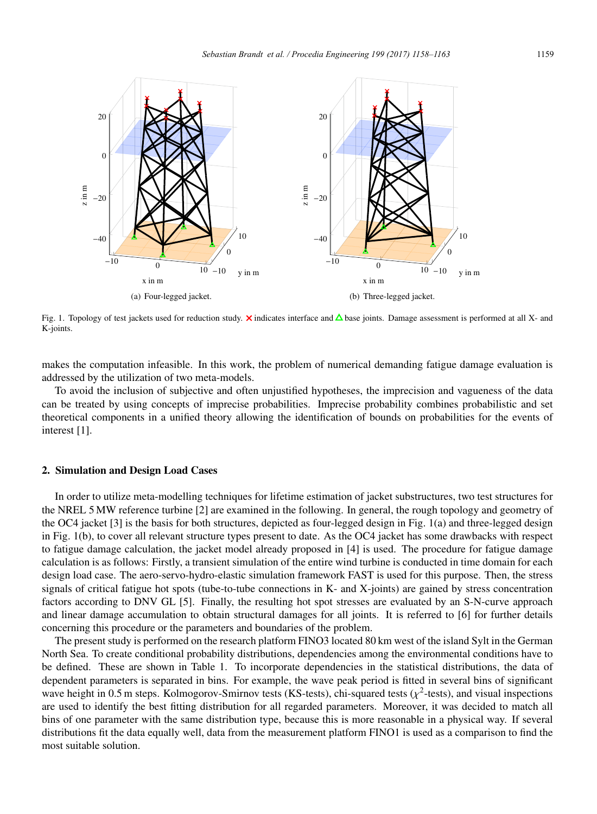

Fig. 1. Topology of test jackets used for reduction study. **X** indicates interface and  $\Delta$  base joints. Damage assessment is performed at all X- and K-joints.

makes the computation infeasible. In this work, the problem of numerical demanding fatigue damage evaluation is addressed by the utilization of two meta-models.

To avoid the inclusion of subjective and often unjustified hypotheses, the imprecision and vagueness of the data can be treated by using concepts of imprecise probabilities. Imprecise probability combines probabilistic and set theoretical components in a unified theory allowing the identification of bounds on probabilities for the events of interest [1].

#### 2. Simulation and Design Load Cases

In order to utilize meta-modelling techniques for lifetime estimation of jacket substructures, two test structures for the NREL 5 MW reference turbine [2] are examined in the following. In general, the rough topology and geometry of the OC4 jacket [3] is the basis for both structures, depicted as four-legged design in Fig. 1(a) and three-legged design in Fig. 1(b), to cover all relevant structure types present to date. As the OC4 jacket has some drawbacks with respect to fatigue damage calculation, the jacket model already proposed in [4] is used. The procedure for fatigue damage calculation is as follows: Firstly, a transient simulation of the entire wind turbine is conducted in time domain for each design load case. The aero-servo-hydro-elastic simulation framework FAST is used for this purpose. Then, the stress signals of critical fatigue hot spots (tube-to-tube connections in K- and X-joints) are gained by stress concentration factors according to DNV GL [5]. Finally, the resulting hot spot stresses are evaluated by an S-N-curve approach and linear damage accumulation to obtain structural damages for all joints. It is referred to [6] for further details concerning this procedure or the parameters and boundaries of the problem.

The present study is performed on the research platform FINO3 located 80 km west of the island Sylt in the German North Sea. To create conditional probability distributions, dependencies among the environmental conditions have to be defined. These are shown in Table 1. To incorporate dependencies in the statistical distributions, the data of dependent parameters is separated in bins. For example, the wave peak period is fitted in several bins of significant wave height in 0.5 m steps. Kolmogorov-Smirnov tests (KS-tests), chi-squared tests ( $\chi^2$ -tests), and visual inspections are used to identify the best fitting distribution for all regarded parameters. Moreover, it was decided to match all bins of one parameter with the same distribution type, because this is more reasonable in a physical way. If several distributions fit the data equally well, data from the measurement platform FINO1 is used as a comparison to find the most suitable solution.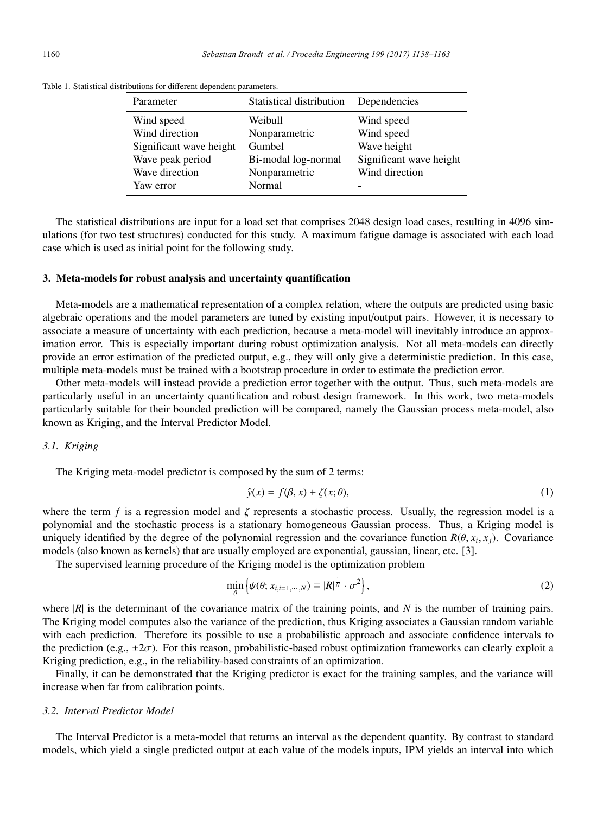| Parameter               | Statistical distribution | Dependencies            |
|-------------------------|--------------------------|-------------------------|
| Wind speed              | Weibull                  | Wind speed              |
| Wind direction          | Nonparametric            | Wind speed              |
| Significant wave height | Gumbel                   | Wave height             |
| Wave peak period        | Bi-modal log-normal      | Significant wave height |
| Wave direction          | Nonparametric            | Wind direction          |
| Yaw error               | Normal                   |                         |

Table 1. Statistical distributions for different dependent parameters.

The statistical distributions are input for a load set that comprises 2048 design load cases, resulting in 4096 simulations (for two test structures) conducted for this study. A maximum fatigue damage is associated with each load case which is used as initial point for the following study.

#### 3. Meta-models for robust analysis and uncertainty quantification

Meta-models are a mathematical representation of a complex relation, where the outputs are predicted using basic algebraic operations and the model parameters are tuned by existing input/output pairs. However, it is necessary to associate a measure of uncertainty with each prediction, because a meta-model will inevitably introduce an approximation error. This is especially important during robust optimization analysis. Not all meta-models can directly provide an error estimation of the predicted output, e.g., they will only give a deterministic prediction. In this case, multiple meta-models must be trained with a bootstrap procedure in order to estimate the prediction error.

Other meta-models will instead provide a prediction error together with the output. Thus, such meta-models are particularly useful in an uncertainty quantification and robust design framework. In this work, two meta-models particularly suitable for their bounded prediction will be compared, namely the Gaussian process meta-model, also known as Kriging, and the Interval Predictor Model.

#### *3.1. Kriging*

The Kriging meta-model predictor is composed by the sum of 2 terms:

$$
\hat{y}(x) = f(\beta, x) + \zeta(x; \theta),\tag{1}
$$

where the term  $f$  is a regression model and  $\zeta$  represents a stochastic process. Usually, the regression model is a polynomial and the stochastic process is a stationary homogeneous Gaussian process. Thus, a Kriging model is uniquely identified by the degree of the polynomial regression and the covariance function  $R(\theta, x_i, x_j)$ . Covariance models (also known as kernels) that are usually employed are exponential, gaussian, linear, etc. [3].

The supervised learning procedure of the Kriging model is the optimization problem

$$
\min_{\theta} \left\{ \psi(\theta; x_{i,i=1,\cdots,N}) \equiv |R|^{\frac{1}{N}} \cdot \sigma^2 \right\},\tag{2}
$$

where  $|R|$  is the determinant of the covariance matrix of the training points, and  $N$  is the number of training pairs. The Kriging model computes also the variance of the prediction, thus Kriging associates a Gaussian random variable with each prediction. Therefore its possible to use a probabilistic approach and associate confidence intervals to the prediction (e.g.,  $\pm 2\sigma$ ). For this reason, probabilistic-based robust optimization frameworks can clearly exploit a Kriging prediction, e.g., in the reliability-based constraints of an optimization.

Finally, it can be demonstrated that the Kriging predictor is exact for the training samples, and the variance will increase when far from calibration points.

#### *3.2. Interval Predictor Model*

The Interval Predictor is a meta-model that returns an interval as the dependent quantity. By contrast to standard models, which yield a single predicted output at each value of the models inputs, IPM yields an interval into which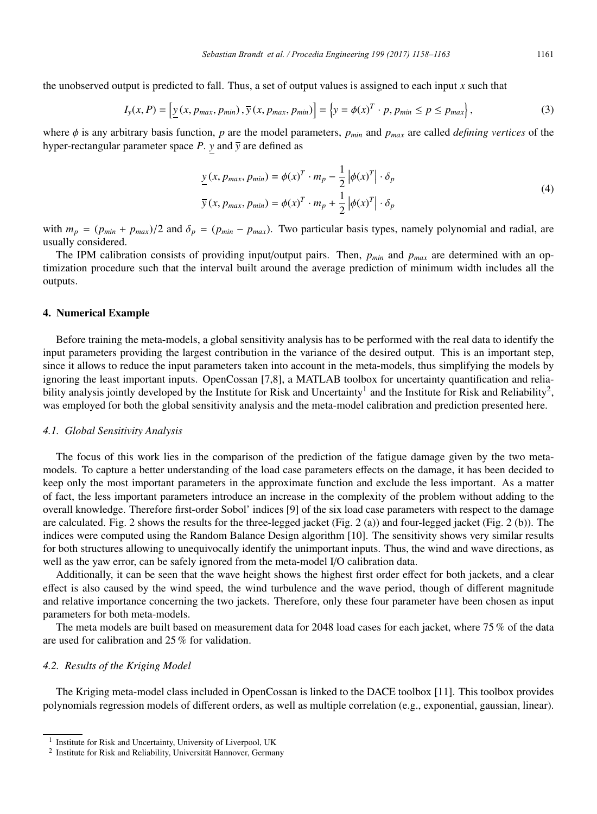the unobserved output is predicted to fall. Thus, a set of output values is assigned to each input *x* such that

$$
I_{y}(x, P) = \left[ \underline{y}(x, p_{max}, p_{min}), \overline{y}(x, p_{max}, p_{min}) \right] = \left\{ y = \phi(x)^{T} \cdot p, p_{min} \le p \le p_{max} \right\},\tag{3}
$$

where φ is any arbitrary basis function, *p* are the model parameters, *pmin* and *pmax* are called *defining vertices* of the hyper-rectangular parameter space  $P$ .  $y$  and  $\overline{y}$  are defined as

$$
\underline{y}(x, p_{max}, p_{min}) = \phi(x)^T \cdot m_p - \frac{1}{2} |\phi(x)^T| \cdot \delta_p
$$
  

$$
\overline{y}(x, p_{max}, p_{min}) = \phi(x)^T \cdot m_p + \frac{1}{2} |\phi(x)^T| \cdot \delta_p
$$
 (4)

with  $m_p = (p_{min} + p_{max})/2$  and  $\delta_p = (p_{min} - p_{max})$ . Two particular basis types, namely polynomial and radial, are usually considered.

The IPM calibration consists of providing input/output pairs. Then, *pmin* and *pmax* are determined with an optimization procedure such that the interval built around the average prediction of minimum width includes all the outputs.

#### 4. Numerical Example

Before training the meta-models, a global sensitivity analysis has to be performed with the real data to identify the input parameters providing the largest contribution in the variance of the desired output. This is an important step, since it allows to reduce the input parameters taken into account in the meta-models, thus simplifying the models by ignoring the least important inputs. OpenCossan [7,8], a MATLAB toolbox for uncertainty quantification and reliability analysis jointly developed by the Institute for Risk and Uncertainty<sup>1</sup> and the Institute for Risk and Reliability<sup>2</sup>, was employed for both the global sensitivity analysis and the meta-model calibration and prediction presented here.

#### *4.1. Global Sensitivity Analysis*

The focus of this work lies in the comparison of the prediction of the fatigue damage given by the two metamodels. To capture a better understanding of the load case parameters effects on the damage, it has been decided to keep only the most important parameters in the approximate function and exclude the less important. As a matter of fact, the less important parameters introduce an increase in the complexity of the problem without adding to the overall knowledge. Therefore first-order Sobol' indices [9] of the six load case parameters with respect to the damage are calculated. Fig. 2 shows the results for the three-legged jacket (Fig. 2 (a)) and four-legged jacket (Fig. 2 (b)). The indices were computed using the Random Balance Design algorithm [10]. The sensitivity shows very similar results for both structures allowing to unequivocally identify the unimportant inputs. Thus, the wind and wave directions, as well as the yaw error, can be safely ignored from the meta-model I/O calibration data.

Additionally, it can be seen that the wave height shows the highest first order effect for both jackets, and a clear effect is also caused by the wind speed, the wind turbulence and the wave period, though of different magnitude and relative importance concerning the two jackets. Therefore, only these four parameter have been chosen as input parameters for both meta-models.

The meta models are built based on measurement data for 2048 load cases for each jacket, where 75 % of the data are used for calibration and 25 % for validation.

#### *4.2. Results of the Kriging Model*

The Kriging meta-model class included in OpenCossan is linked to the DACE toolbox [11]. This toolbox provides polynomials regression models of different orders, as well as multiple correlation (e.g., exponential, gaussian, linear).

<sup>&</sup>lt;sup>1</sup> Institute for Risk and Uncertainty, University of Liverpool, UK

 $2$  Institute for Risk and Reliability, Universität Hannover, Germany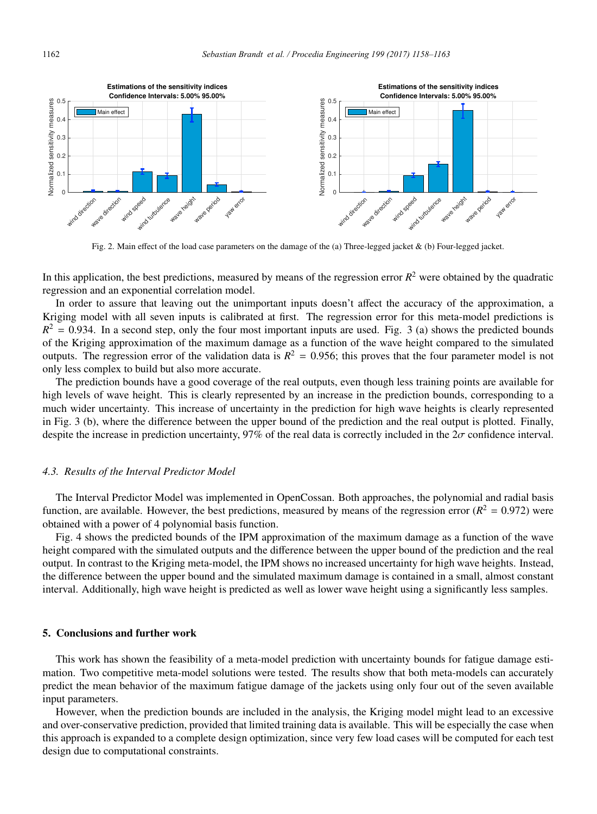

Fig. 2. Main effect of the load case parameters on the damage of the (a) Three-legged jacket & (b) Four-legged jacket.

In this application, the best predictions, measured by means of the regression error  $R^2$  were obtained by the quadratic regression and an exponential correlation model.

In order to assure that leaving out the unimportant inputs doesn't affect the accuracy of the approximation, a Kriging model with all seven inputs is calibrated at first. The regression error for this meta-model predictions is  $R^2$  = 0.934. In a second step, only the four most important inputs are used. Fig. 3 (a) shows the predicted bounds of the Kriging approximation of the maximum damage as a function of the wave height compared to the simulated outputs. The regression error of the validation data is  $R^2 = 0.956$ ; this proves that the four parameter model is not only less complex to build but also more accurate.

The prediction bounds have a good coverage of the real outputs, even though less training points are available for high levels of wave height. This is clearly represented by an increase in the prediction bounds, corresponding to a much wider uncertainty. This increase of uncertainty in the prediction for high wave heights is clearly represented in Fig. 3 (b), where the difference between the upper bound of the prediction and the real output is plotted. Finally, despite the increase in prediction uncertainty, 97% of the real data is correctly included in the  $2\sigma$  confidence interval.

#### *4.3. Results of the Interval Predictor Model*

The Interval Predictor Model was implemented in OpenCossan. Both approaches, the polynomial and radial basis function, are available. However, the best predictions, measured by means of the regression error  $(R^2 = 0.972)$  were obtained with a power of 4 polynomial basis function.

Fig. 4 shows the predicted bounds of the IPM approximation of the maximum damage as a function of the wave height compared with the simulated outputs and the difference between the upper bound of the prediction and the real output. In contrast to the Kriging meta-model, the IPM shows no increased uncertainty for high wave heights. Instead, the difference between the upper bound and the simulated maximum damage is contained in a small, almost constant interval. Additionally, high wave height is predicted as well as lower wave height using a significantly less samples.

#### 5. Conclusions and further work

This work has shown the feasibility of a meta-model prediction with uncertainty bounds for fatigue damage estimation. Two competitive meta-model solutions were tested. The results show that both meta-models can accurately predict the mean behavior of the maximum fatigue damage of the jackets using only four out of the seven available input parameters.

However, when the prediction bounds are included in the analysis, the Kriging model might lead to an excessive and over-conservative prediction, provided that limited training data is available. This will be especially the case when this approach is expanded to a complete design optimization, since very few load cases will be computed for each test design due to computational constraints.